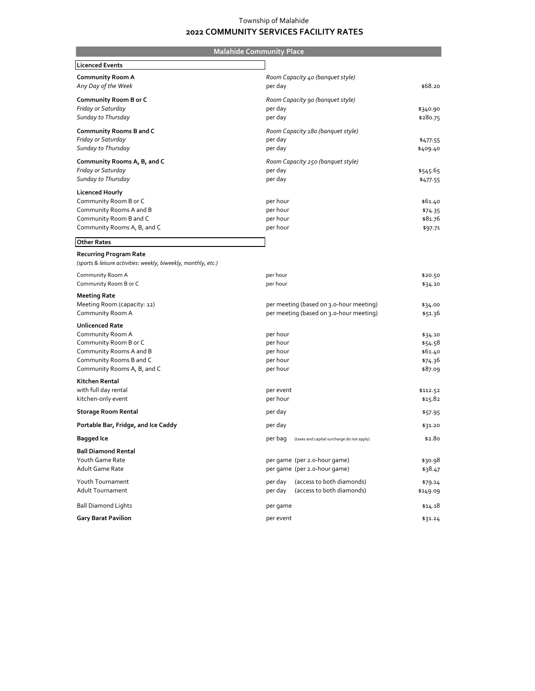## Township of Malahide  **2022 COMMUNITY SERVICES FACILITY RATES**

| <b>Malahide Community Place</b>                                |                                                    |                    |
|----------------------------------------------------------------|----------------------------------------------------|--------------------|
| <b>Licenced Events</b>                                         |                                                    |                    |
| <b>Community Room A</b>                                        | Room Capacity 40 (banquet style)                   |                    |
| Any Day of the Week                                            | per day                                            | \$68.20            |
| Community Room B or C                                          | Room Capacity 90 (banquet style)                   |                    |
| Friday or Saturday                                             | per day                                            | \$340.90           |
| Sunday to Thursday                                             | per day                                            | \$280.75           |
| <b>Community Rooms B and C</b>                                 | Room Capacity 180 (banquet style)                  |                    |
| Friday or Saturday                                             | per day                                            | \$477.55           |
| Sunday to Thursday                                             | per day                                            | \$409.40           |
| Community Rooms A, B, and C                                    | Room Capacity 250 (banquet style)                  |                    |
| Friday or Saturday                                             | per day                                            | \$545.65           |
| Sunday to Thursday                                             | per day                                            | \$477.55           |
| Licenced Hourly                                                |                                                    |                    |
| Community Room B or C                                          | per hour                                           | \$61.40            |
| Community Rooms A and B                                        | per hour                                           | \$74.35            |
| Community Room B and C<br>Community Rooms A, B, and C          | per hour<br>per hour                               | \$81.76            |
|                                                                |                                                    | \$97.71            |
| <b>Other Rates</b>                                             |                                                    |                    |
| <b>Recurring Program Rate</b>                                  |                                                    |                    |
| (sports & leisure activities: weekly, biweekly, monthly, etc.) |                                                    |                    |
| Community Room A                                               | per hour                                           | \$20.50            |
| Community Room B or C                                          | per hour                                           | \$34.10            |
| <b>Meeting Rate</b>                                            |                                                    |                    |
| Meeting Room (capacity: 12)                                    | per meeting (based on 3.0-hour meeting)            | \$34.00            |
| Community Room A                                               | per meeting (based on 3.0-hour meeting)            | \$51.36            |
| <b>Unlicenced Rate</b>                                         |                                                    |                    |
| Community Room A                                               | per hour                                           | \$34.10            |
| Community Room B or C                                          | per hour                                           | \$54.58            |
| Community Rooms A and B<br>Community Rooms B and C             | per hour<br>per hour                               | \$61.40<br>\$74.36 |
| Community Rooms A, B, and C                                    | per hour                                           | \$87.09            |
| Kitchen Rental                                                 |                                                    |                    |
| with full day rental                                           | per event                                          | \$112.52           |
| kitchen-only event                                             | per hour                                           | \$15.82            |
| <b>Storage Room Rental</b>                                     | per day                                            | \$57.95            |
| Portable Bar, Fridge, and Ice Caddy                            | per day                                            | \$31.20            |
| <b>Bagged Ice</b>                                              | per bag (taxes and capital surcharge do not apply) | \$2.80             |
| <b>Ball Diamond Rental</b>                                     |                                                    |                    |
| Youth Game Rate                                                | per game (per 2.0-hour game)                       | \$30.98            |
| Adult Game Rate                                                | per game (per 2.0-hour game)                       | \$38.47            |
| Youth Tournament                                               | (access to both diamonds)<br>per day               | \$79.14            |
| Adult Tournament                                               | (access to both diamonds)<br>per day               | \$149.09           |
| <b>Ball Diamond Lights</b>                                     | per game                                           | \$14.18            |
| <b>Gary Barat Pavilion</b>                                     | per event                                          | \$31.24            |